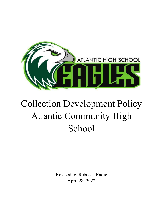

# Collection Development Policy Atlantic Community High School

Revised by Rebecca Radic April 28, 2022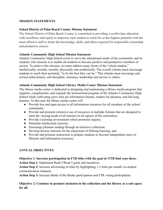# **MISSION STATEMENTS**

# **School District of Palm Beach County Mission Statement**

The School District of Palm Beach County is committed to providing a world-class education with excellence and equity to empower each student to reach his or her highest potential with the most effective staff to foster the knowledge, skills, and ethics required for responsible citizenship and productive careers.

# **Atlantic Community High School Mission Statement**

Atlantic Community High School exists to serve the educational needs of the community and its students. Our mission is to enable all students to become positive and productive members of society. To achieve this mission, we must address many facets of the "whole student," intellectually, socially, morally, physically and aesthetically. The overall climate must encourage students to reach their potential, "to be the best they can be." This climate must encourage and reward achievement, self-discipline, tolerance, leadership and service to others.

# **Atlantic Community High School Library Media Center Mission Statement**

The library media center is dedicated to designing and maintaining a library media program that supports, complements, and expands the instructional program of the Atlantic Community High School while cultivating users who are information literate, readers for pleasure, and life-long learners. To this end, the library media center will

- Provide free and open access to all information resources for all members of the school community;
- Provide and promote extensive use of resources in multiple formats that are designed to meet the varying needs of all learners in all aspects of the curriculum;
- Provide a learning environment which promotes inquiry;
- Stimulate intellectual curiosity;
- Encourage pleasure reading through an inclusive collection;
- Develop diverse interests for the enjoyment of lifelong learning; and
- Provide and promote instruction to prepare students to become independent users of libraries and information resources.

# **ANNUAL OBJECTIVES**

# **Objective 1: Increase participation in FTR titles with the goal of: FTR find your three.**

**Action Step 1:** Implement Read 3/Read 5 goals and incentives.

**Action Step 2:** Increase advertising of titles by highlighting 1-2 titles per month via student communication channels.

**Action Step 3:** Increase Battle of the Books participation and FTR voting participation.

# **Objective 2: Continue to promote inclusion in the collection and the library as a safe space for all.**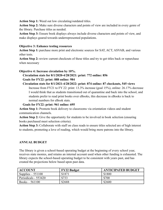**Action Step 1:** Weed out low circulating/outdated titles.

**Action Step 2:** Make sure diverse characters and points of view are included in every genre of the library. Purchase titles as needed.

**Action Step 3:** Ensure book displays always include diverse characters and points of view, and make displays geared towards underrepresented populations.

# **Objective 3: Enhance testing resources**

**Action Step 1:** purchase more print and electronic sources for SAT, ACT, ASVAB, and various other tests.

**Action Step 2:** review current checkouts of these titles and try to get titles back or repurchase when necessary

# **Objective 4: Increase circulation by 10%.**

# **Circulation stats for 8/1/2020-4/28/2021: print: 772 online: 856 Goals for FY22: print: 888 online: 984**

**Circulation stats for 8/1/2021-4/28/2022: print: 874 online: 87 checkouts, 545 views** Increase from FY21 to FY 22: print: 13.3% increase (goal 15%), online: 26.17% decrease I would think that as students transitioned out of quarantine and back into the school, and students prefer to read print books over eBooks, this decrease in eBooks is back to normal numbers for eBook stats.

# **Goals for FY22: print: 961 online: 695**

**Action Step 1:** Promote book delivery to classrooms via orientation videos and student communication channels.

**Action Step 2:** Give the opportunity for students to be involved in book selection (ensuring books purchased meet selection criteria).

**Action Step 3:** Collaborate with staff on class reads to ensure titles selected are of high interest to students, promoting a love of reading, which would bring more patrons into the library.

# **ANNUAL BUDGET**

The library is given a school-based operating budget at the beginning of every school year, receives state monies, and retains an internal account used when other funding is exhausted. The library expects the school-based operating budget to be consistent with years past, and has created the projections below based upon past data.

| <b>ACCOUNT</b>       | <b>FY22 Budget</b> | <b>ANTICIPATED BUDGET</b> |
|----------------------|--------------------|---------------------------|
| Supplies $-551100$   | \$1871             | \$1800                    |
| Periodicals - 553420 | \$733              | \$700                     |
| $Books - 561100$     | \$2688             | \$2600                    |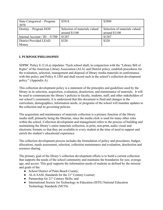| State Categorical – Program    | \$2818                        | \$2800                        |
|--------------------------------|-------------------------------|-------------------------------|
| 3070                           |                               |                               |
| Destiny – Program 8430         | Selection of materials valued | Selection of materials valued |
|                                | around \$1100                 | around \$1100                 |
| Internal Account / ID $-51700$ | \$1287                        | \$1287                        |
| District Provided LEAD         | \$320                         | \$320                         |
| Money                          |                               |                               |

# **I. PURPOSE/PHILOSOPHY**

SDPBC Policy 8.12 (6.a) stipulates "Each school shall, in conjunction with the "Library Bill of Rights" of the American Library Association (ALA) and District policy, establish procedures for the evaluation, selection, management and disposal of library media materials in conformance with this policy and Policy 8.1205 and shall record such in the school's collection development policy." (Appendix A).

This collection development policy is a statement of the principles and guidelines used by the library in its selection, acquisition, evaluation, deselection, and maintenance of materials. It will be used to communicate the library's policies to faculty, students, staff, and other stakeholders of our school's community. It is understood that this document is fluid and changes in the curriculum, demographics, information needs, or programs of the school will mandate updates to the collection and its governing policies.

The acquisition and maintenance of materials collection is a primary function of the library media staff, primarily being the librarian, since the media clerk is used for many other roles within the school. Collection development and management refers to the process of building and maintaining the library's entire materials collection, in print, non-print, audio visual and electronic formats so that they are available to every student at the time of need to support and enrich the student's educational experience.

The collection development process includes the formulation of policy and procedures, budget, allocations, needs assessment, selection, collection maintenance and evaluation, deselection and resource sharing.

The primary goal of the library's collection development efforts is to build a current collection that supports the needs of the school community and maintains the boundaries for size, average age, and access. This goal supports the information needs of students as defined by the mission and goals of the:

- School District of Palm Beach County;
- ALA/AASL Standards for the  $21<sup>st</sup>$  Century Learner;
- Partnership for  $21<sup>st</sup>$  Century Skills; and
- International Society for Technology in Education (ISTE) National Education Technology Standards (NETS)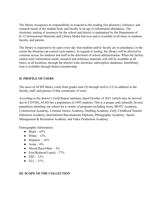The library recognizes its responsibility to respond to the reading (for pleasure), reference, and research needs of the student body and faculty in an age of information abundance. The electronic catalog of resources for the school and district is maintained by the Department of K-12 Instructional Materials and Library Media Services and is available at all times to students, faculty, and parents.

The library is expected to be open every day that students and/or faculty are in attendance, to the extent the librarian can control such matters. In regards to testing, the library will be allowed to continue access for students and staff at the discretion of school administration. When the facility cannot meet information needs, research and reference materials will still be available at all times, in all locations, through the district-wide electronic subscription databases. Interlibrary loan is available through district membership.

# **II. PROFILE OF USERS**

The users of ACHS library come from grades nine (9) through twelve (12) in addition to the faculty, staff, and parents of that community of users.

According to the district's Gold Report summary dated October of 2021 (which may be skewed due to COVID), ACHS has a population of 1995 students. This is a unique and culturally diverse population attending our school for a variety of programs including Army JROTC Academy, Construction Academy, Criminal Justice Academy, Drafting Academy, Early Childhood Teacher Education Academy, International Baccalaureate Diploma, Photography Academy, Sports Management & Recreation Academy and Video Production Academy.

Demographic Information:

- $\bullet$  Black 63%
- $\bullet$  White 13%
- $\bullet$  Hispanic 16%
- $\bullet$  Asian 6%
- Mixed Race/Other  $3\%$
- Free/Reduced Lunch  $-77%$
- $\bullet$  ESE 13%
- $\bullet$  ELL $-11\%$

# **III. SCOPE OF THE COLLECTION**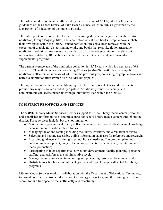The collection development is influenced by the curriculum of ACHS, which follows the guidelines of the School District of Palm Beach County, which in turn are governed by the Department of Education of the State of Florida.

The entire print collection at ACHS is currently arranged by genre, augmented with narrative nonfiction, foreign language titles, and a collection of test prep books. Graphic novels inhabit their own space within the library. Printed nonfiction titles have been removed with the exception of graphic novels, testing materials, and books that read like fiction (narrative nonfiction). Additional resources are provided by district-wide subscriptions to electronic information databases, IB databases maintained by the IB department, and curricular supplemental programs.

The current average age of the nonfiction collection is 11.72 years, which is a decrease of 0.8 years in 2021, with the oldest sections being 22 years (400-499). 1490 titles make up the nonfiction collection, an increase of 247 from the previous year, consisting of graphic novels and narrative nonfiction titles (which also includes biographies).

Through affiliation with the public library system, the library is able to extend its collection to provide any major resource needed by a patron. Additionally, students, faculty, and administrators can access materials through interlibrary loan within the SDPBC.

# **IV. DISTRICT RESOURCES AND SERVICES**

The SDPBC Library Media Services provides support to school library media center personnel and establishes uniform policies and procedures for school library media centers throughout the district. These services include, but are not limited to:

- Maintaining a professional library collection to assist with re-certification and knowledge acquisition on education related topics;
- Managing the online catalog including the library inventory and circulation software;
- Selecting and making accessible online information databases for reference and research;
- Providing guidance and training to school library media staff in program planning, curriculum development, budget, technology, collection maintenance, facility use and media production;
- Participating in inter-departmental curriculum development, facility planning, personnel staffing, and task forces the administrative level;
- Manage technical services for acquiring and processing resources for schools; and
- Distribute to schools and monitor categorical and capital budgets allocated for library programs.

Library Media Services works in collaboration with the Department of Educational Technology to provide selected electronic information, technology access to it, and the training needed to search for and find specific facts efficiently and effectively.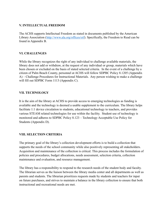# **V. INTELLECTUAL FREEDOM**

The ACHS supports Intellectual Freedom as stated in documents published by the American Library Association ([http://www.ala.org/offices/oif\)](http://www.ala.org/offices/oif). Specifically, the Freedom to Read can be found in Appendix B.

# **VI. CHALLENGES**

While the library recognizes the right of any individual to challenge available materials, the library does not add or withdraw, at the request of any individual or group, materials which have been chosen or excluded on the basis of stated selected criteria. In the event of a challenge by a citizen of Palm Beach County, personnel at ACHS will follow SDPBC Policy 8.1205 (Appendix A) – Challenge Procedures for Instructional Materials. Any person wishing to make a challenge will fill out SDPBC Form 1113 (Appendix C).

# **VII. TECHNOLOGY**

It is the aim of the library at ACHS to provide access to emerging technologies as funding is available and the technology is deemed a usable supplement to the curriculum. The library helps facilitate 1:1 device circulation to students, educational technology to teachers, and provides various STEAM related technologies for use within the facility. Student use of technology is monitored and adheres to SDPBC Policy 8.123 – Technology Acceptable Use Policy for Students (Appendix D).

# **VIII. SELECTION CRITERIA**

The primary goal of the library's collection development efforts is to build a collection that supports the needs of the school community while also positively representing all stakeholders. Acquisition and maintenance of the collection is critical. This process includes the formulation of policies and procedures, budget allocations, needs assessment, selection criteria, collection maintenance and evaluation, and resource management.

The library has a responsibility to respond to the research needs of the student body and faculty. The librarian serves as the liaison between the library media center and all departments as well as parents and students. The librarian prioritizes requests made by students and teachers for input on future purchases, and strives to maintain a balance in the library collection to ensure that both instructional and recreational needs are met.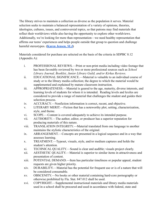The library strives to maintain a collection as diverse as the population it serves. Material selection seeks to maintain a balanced representation of a variety of opinions, theories, ideologies, cultures, issues, and controversial topics, so that patrons may find materials that reflect their worldviews while also having the opportunity to explore other worldviews. Additionally, we're looking for more than representation—we need healthy representation that affirms our teens' experiences and helps people outside that group to question and challenge harmful stereotypes. **([Karen Jensen, SLJ\)](https://www.slj.com/?detailStory=diversity-auditing-101-how-to-evaluate-collection)**

Materials considered for purchase are selected on the basis of the criteria in SDPBC 8.12 (Appendix A):

- i. PROFESSIONAL REVIEWS.—Print or non-print media including video footage that has been favorably reviewed by two or more professional sources such as *School Library Journal, Booklist, Junior Library Guild, and/or Kirkus Reviews.*
- ii. EDUCATIONAL SIGNIFICANCE.—Material is valuable to an individual course of study or to the library media collection; the degree to which the material would be supplemented and explained by mature classroom instruction.
- iii. APPROPRIATENESS.—Material is geared to the age, maturity, diverse interests, and learning levels of students for whom it is intended. Reading levels and lexiles are considered to provide a range of material that challenges the student and guides their selection process.
- iv. ACCURACY.—Nonfiction information is correct, recent, and objective.
- v. LITERARY MERIT.—Fiction that has a noteworthy plot, setting, characterization, style, and theme.
- vi. SCOPE.—Content is covered adequately to achieve its intended purpose.
- vii. AUTHORITY.—The author, editor, or producer has a superior reputation for producing materials of this nature.
- viii. TRANSLATION INTEGRITY.—Material translated from one language to another maintains the stylistic characteristics of the original.
- ix. ARRANGEMENT.—Concepts are presented in a logical sequence and in a way that assesses learning.
- x. TREATMENT.—Typeset, visuals, style, and/or medium captures and holds the student's attention.
- xi. TECHNICAL QUALITY.—Sound is clear and audible; visuals project clearly.
- xii. AESTHETIC QUALITY.—Material is superior to similar items in attractiveness and presentation of content.
- xiii. POTENTIAL DEMAND.—Item has particular timeliness or popular appeal, student requests are given higher priority.
- xiv. DURABILITY.—Material has the potential for frequent use or is of a nature that will be considered consumable.
- xv. OBSCENITY.—No books or other material containing hard-core pornography or otherwise prohibited by Fla. Stat. 847.012 shall be used.
- xvi. COPYRIGHT.—Supplemental instructional materials and library media materials used in a school shall be procured and used in accordance with federal, state and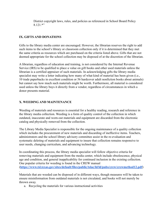District copyright laws, rules, and policies as referenced in School Board Policy  $8.121.*"$ 

# **IX. GIFTS AND DONATIONS**

Gifts to the library media center are encouraged. However, the librarian reserves the right to add such items to the school's library or classroom collection only if it is determined that they met the same criteria as resources which are purchased on the criteria listed above. Gifts that are not deemed appropriate for the school collection may be disposed of at the discretion of the librarian.

A librarian, regardless of education and training, is not considered by the Internal Revenue Service (IRS) to be qualified to place a value on gift books and other used materials unless the librarian is a certified appraiser of such materials. In acknowledging gifts the library media specialist may write a letter indicating how many of what kind of material has been given (i.e., 10 trade paperbacks in excellent condition or 56 hardcover adult nonfiction books about animals) but cannot say how much such materials might be worth. Furthermore, all material is considered used unless the library buys it directly from a vendor, regardless of circumstances in which a donor presents material.

# **X. WEEDING AND MAINTENANCE**

Weeding of materials and resources is essential for a healthy reading, research and reference in the library media collection. Weeding is a form of quality control of the collection in which outdated, inaccurate and worn-out materials and equipment are discarded from the electronic catalog and physically removed from the collection.

The Library Media Specialist is responsible for the ongoing maintenance of a quality collection which includes the procurement of new materials and discarding of ineffective items. Teachers, administrators and the school library advisory committee assist in the re-evaluation and systematic deleting of materials and equipment to insure that collection remains responsive to user needs, changing curriculum, and advancing technology.

In coordinating this process, the library media specialist will follow objective criteria for removing materials and equipment from the media center, which include obsolescence, physical age and condition, and general inapplicability for continued inclusion in the existing collection. One popular criteria for weeding is found in the CREW manual (**<https://www.tsl.texas.gov/sites/default/files/public/tslac/ld/ld/pubs/crew/crewmethod12.pdf>**)

. Materials that are weeded can be disposed of in different ways, though measures will be taken to ensure misinformation from outdated materials is not circulated, and books will not merely be thrown away.

a. Recycling the materials for various instructional activities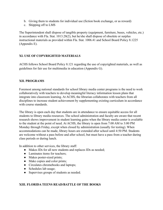- b. Giving them to students for individual use (fiction book exchange, or as reward)
- c. Shipping off to LMS

The Superintendent shall dispose of tangible property (equipment, furniture, buses, vehicles, etc.) in accordance with Fla. Stat. 1013.28(2), but he/she shall dispose of obsolete or surplus instructional materials as provided within Fla. Stat. 1006.41 and School Board Policy 8.1225 (Appendix E).

# **XI. USE OF COPYRIGHTED MATERIALS**

ACHS follows School Board Policy 8.121 regarding the use of copyrighted materials, as well as guidelines for fair use for multimedia in education (Appendix G).

# **XII. PROGRAMS**

Foremost among national standards for school library media center programs is the need to work collaboratively with teachers to develop meaningful literacy information lesson plans that integrate into classroom learning. At ACHS, the librarian collaborates with teachers from all disciplines to increase student achievement by supplementing existing curriculum in accordance with course standards.

The library is open each day that students are in attendance to ensure equitable access for all students to library media resources. The school administration and faculty are aware that recent research shows improvement in student learning gains when the library media center is available to the student at the point of need. At ACHS, the library is open from 7:00 AM to 3:00 PM Monday through Friday, except when closed by administration (usually for testing). When accommodations can be made, library hours are extended after school until 4:50 PM. Students are welcome without a pass before and after school, but must have a pass from a teacher during class periods or during lunch.

In addition to other services, the library staff:

- Makes IDs for all new students and replaces IDs as needed;
- Laminates items for teachers:
- Makes poster-sized prints;
- Make copies and color prints;
- Circulates chromebooks and laptops;
- Schedules lab usage;
- Supervises groups of students as needed.

# **XIII. FLORIDA TEENS READ/BATTLE OF THE BOOKS**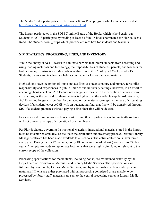The Media Center participates in The Florida Teens Read program which can be accessed at [http://www.floridamedia.org/florida-teens-read.html.](http://www.floridamedia.org/florida-teens-read.html)

The library participates in the SDPBC online Battle of the Books which is held each year. Students at ACHS participate by reading at least 3 of the 15 books nominated for Florida Teens Read. The students form groups which practice at times best for students and teachers.

# **XIV. STATISTICS, PROCESSING, FINES, AND INVENTORY**

While the library at ACHS works to eliminate barriers that inhibit students from accessing and using reading materials and technology, the responsibilities of students, parents, and teachers for lost or damaged Instructional Materials is outlined in SDPBC Policy 8.125 (Appendix F). Students, parents and teachers are held accountable for lost or damaged material.

High schools have the option of imposing late fines as students mature and prepare for similar responsibility and experiences in public libraries and university settings; however, in an effort to encourage book checkout, ACHS does not charge late fees, with the exception of chromebook circulations, as the demand for these devices is higher than the available supply. Additionally, ACHS will no longer charge fees for damaged or lost materials, except in the case of circulating devices. If a student leaves ACHS with an outstanding fine, that fine will be transferred through SIS. If a student graduates without paying a fine, their fine will be deleted.

Fines assessed from previous schools or ACHS in other departments (including textbook fines) will not prevent any type of circulation from the library.

Per Florida Statute governing Instructional Materials, instructional material stored in the library must be inventoried annually. To facilitate the circulation and inventory process, Destiny Library Manager software has been made available to all schools. The entire collection is inventoried every year. During the FY22 inventory, only 48 books were marked lost (compared to 337 last year). Attempts are made to repurchase lost items that were highly circulated or relevant to the current scope of the collection.

Processing specifications for media items, including books, are maintained centrally by the Department of Instructional Materials and Library Media Services. The specifications are followed by vendors, by Library Media Services, and by individuals at schools who process materials. If Items are either purchased without processing completed or are unable to be processed by library staff, materials are sent to the central processing center at Library Media Services.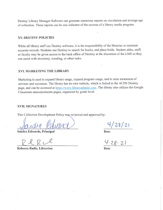Destiny Library Manager Software can generate numerous reports on circulation and average age of collection. These reports can be one indicator of the success of a library media program.

## **XV. DESTINY POLICIES**

While all library staff use Destiny software, it is the responsibility of the librarian to maintain accurate records. Students use Destiny to search for books, and place holds. Student aides, staff, or faculty may be given access to the back office of Destiny at the discretion of the LMS so they can assist with inventory, weeding, or other tasks.

## **XVI. MARKETING THE LIBRARY**

Marketing is used to expand library usage, expand program usage, and to raise awareness of services and successes. The library has its own website, which is linked to the ACHS Destiny page, and can be accessed at https://www.libraryatlantic.com. The library also utilizes the Google Classroom announcements pages, organized by grade level.

## **XVII. SIGNATURES**

This Collection Development Policy was reviewed and approved by:

Sandra Edwards, Principal

 $lRc$ 

Rebecca Radic, Librarian

4/28/21

Date

 $4.28.$ 

Date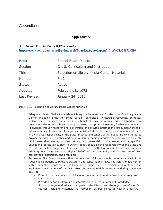# Appendices

# **Appendix A:**

## **A. 1. School District Policy 8.12 accessed at**

**<https://www.boarddocs.com/fl/palmbeach/Board.nsf/goto?open&id=AVGLQ8572CB6>**

| <b>Book</b>   | <b>School Board Policies</b>                |
|---------------|---------------------------------------------|
| Section       | Ch. 8. Curriculum and Instruction           |
| Title         | Selection of Library Media Center Materials |
| Number        | 8.12                                        |
| <b>Status</b> | Active                                      |
| Adopted       | February 18, 1972                           |
| Last Revised  | January 24, 2018                            |

Policy 8.12 - Selection of Library Media Center Materials

- 1. Adequate Library Media Materials.-- Library media materials for the school's Library Media Center, including print, non-print, serials [periodicals], electronic resources, computer software, video images, films, and instructional television programs, represent fundamental resources selected for schools to support instruction, promote reading, further the pursuit of knowledge through research and exploration, and provide information literacy experiences of educational significance for class groups, individual students, teachers and administrators. It is the shared responsibility of the State, District, and school, within budgetary constraints, to provide an adequate number and range of library media materials and resources in a variety of formats that are appropriate, timely, and essential to the attainment of specified educational objectives subject to District policy. It is also the responsibility of the State and District and school to provide library media materials that represent the diverse cultures, ethnic groups, languages and religious beliefs of the community and that are free of bias, stereotypes, distortions, and prejudices.
- 2. Purpose.-- The Board believes that the selection of library media materials are within its jurisdiction pursuant to relevant statutory and constitutional laws. The library media center, within budgetary constraints, shall contain a comprehensive collection of materials and equipment, in a variety of media formats that are accessible to students during the school day, to:
	- a. Promote the development of lifelong reading habits and information literacy skills in students;
	- b. Provide a broad background of information resources in areas of knowledge;
	- c. Support the general educational goals of the District and the objectives of specific courses, including materials that represent diverse points of view in order that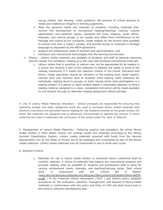young citizens may develop, under guidance, the practice of critical analysis of media and intellectual integrity in forming judgments;

- d. Meet the personal needs and interests of students, including materials that: nurture the development of recreational reading/listening/ viewing, cultural appreciation, and aesthetic values; represent the many religious, racial, ethnic, linguistic, and cultural groups in our society and reflect their contributions to the heritage and culture of our civilization; foster respect for the diverse roles available to women and men in today's society; and provide access to materials in heritage language as stipulated by the META agreement.
- e. Support the professional needs of teachers and administrators; and
- f. Introduce new instructional technologies into the learning environment.
- 3. Choice.-- Library media materials are available to students and staff as optional resources and are usually not mandatory reading as is the case with textbook instructional materials.
	- a. Library media that is sensitive or mature may not be appropriate for all readers in a school but remains a part of the collection to address the needs of some of the reading community if it meets the selection criteria of the school. Educators and library media specialists should be sensitive to the reading level, belief system, interest level and maturity level of students when helping make selections for individuals, reading aloud to groups, or when having whole class participation in a reading project. If a parent or adult student states a reasonable objection to library reading material assigned to a class, comparable instruction will be made available for the student through an alternate reading assignment without penalty.

4. Use of Library Media Materials Allocation.-- School principals are responsible for ensuring that operating budget and state categorical funds are used to purchase library media materials that reinforce instruction and stimulate leisure reading for the students enrolled at the grade level(s) for which the materials are designed and to effectively communicate to parents the manner in which materials are used to implement the curriculum of the school under Fla. Stat. § 1006.40.

5. Management of Library Media Materials.-- Following practice and precedent, the school library media centers in Palm Beach County will arrange media and materials according to the Dewey Decimal Classification System. Library media materials acquired with funds from the General Appropriation Act of the State of Florida are to be cataloged and inventoried as part of the library media collection. Library media materials may be inventoried in one to three year cycles.

#### 6. Selection Criteria

a. Materials for use in school media centers or classroom library collections shall be carefully selected. A choice of materials that support the instructional program and promote reading shall be available to students and professional staff to allow for varying achievement levels, interests, and teaching/learning styles. Each school shall, in conjunction with the "Library Bill of Rights" [\(www.ala.org/advocacy/sites/ala.org.advocacy/files/content/intfreedom/librarybill/lb](http://www.ala.org/advocacy/sites/ala.org.advocacy/files/content/intfreedom/librarybill/lbor.pdf) [or.pdf](http://www.ala.org/advocacy/sites/ala.org.advocacy/files/content/intfreedom/librarybill/lbor.pdf) ) of the American Library Association ("ALA" ) and District policy, establish procedures for the evaluation, selection, management, and disposal of library media materials in conformance with this policy and Policy 8.1205 and shall record such in the school's collection development plan.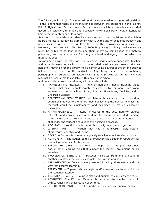- b. The "Library Bill of Rights" referenced herein is to be used as a suggested guideline. To the extent that there are inconsistencies between the guidelines in the "Library Bill of Rights" and District policy, District policy shall take precedence and shall govern the selection, retention and disposition criteria of library media materials for library media centers and classrooms.
- c. Selection of materials shall also be consistent with the provisions in the School Board's collective bargaining agreement with CTA relating to academic freedom and responsibilities--Article II, Section K--to the extent those provisions are applicable.
- d. Moreover, consistent with Fla. Stat. § 1006.28 (2) (a) 2, library media materials must be suited to student needs and their ability to comprehend the material presented, and be appropriate for the grade level and age group for which the material is used.
- e. In conjunction with the selection criteria above, library media specialists, teachers and administrators at each school location shall evaluate and select print and non-print materials for the library media center using several of the criteria outlined below, as appropriate for the media type. Any library media material containing pornography or otherwise prohibited by Fla Stat. § 847.012 as harmful to minors may not be used or made available within any public school.
- f. Additional criteria used in evaluating all materials include:
	- i. PROFESSIONAL REVIEWS. -- Print or non-print media including video footage that have been favorably reviewed by two or more professional sources such as a School Library Journal, Horn Book, Booklist, and/or Children's Catalog.
	- ii. EDUCATIONAL SIGNIFICANCE. -- Material is valuable to an individual course of study or to the library media collection; the degree to which the material would be supplemented and explained by mature classroom instruction.
	- iii. APPROPRIATENESS. -- Material is geared to the age, maturity, diverse interests, and learning levels of students for whom it is intended. Reading levels and Lexile's are considered to provide a range of material that challenges the student and guides their selection process.
	- iv. ACCURACY. -- Nonfiction information is correct, recent, and objective.
	- v. LITERARY MERIT. -- Fiction that has a noteworthy plot, setting, characterization, style and theme.
	- vi. SCOPE. -- Content is covered adequately to achieve its intended purpose.
	- vii. AUTHORITY. -- The author, editor, or producer has a superior reputation for producing materials of this nature.
	- viii. SPECIAL FEATURES. -- The item has maps, charts, graphs, glossaries, and/or other learning aids that support the content, are unique or are valuable.
	- ix. TRANSLATION INTEGRITY. -- Material translated from one language to another maintains the stylistic characteristics of the original.
	- x. ARRANGEMENT. -- Concepts are presented in a logical sequence and in a way that assures learning.
	- xi. TREATMENT. -- Typeset, visuals, style, and/or medium captures and holds the student's attention.
	- xii. TECHNICAL QUALITY. -- Sound is clear and audible; visuals project clearly.
	- xiii. AESTHETIC QUALITY. -- Material is superior to similar items in attractiveness and presentation of content.
	- xiv. POTENTIAL DEMAND. -- Item has particular timeliness or popular appeal.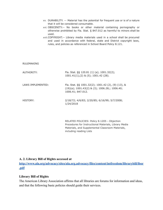| used.             | xv. DURABILITY. -- Material has the potential for frequent use or is of a nature<br>that it will be considered consumable.<br>xvi. OBSCENITY.-- No books or other material containing pornography or<br>otherwise prohibited by Fla. Stat. § 847.012 as harmful to minors shall be<br>xvii.COPYRIGHT.-- Library media materials used in a school shall be procured<br>and used in accordance with federal, state and District copyright laws,<br>rules, and policies as referenced in School Board Policy 8.121. |
|-------------------|------------------------------------------------------------------------------------------------------------------------------------------------------------------------------------------------------------------------------------------------------------------------------------------------------------------------------------------------------------------------------------------------------------------------------------------------------------------------------------------------------------------|
|                   |                                                                                                                                                                                                                                                                                                                                                                                                                                                                                                                  |
| <b>RULEMAKING</b> |                                                                                                                                                                                                                                                                                                                                                                                                                                                                                                                  |
| AUTHORITY:        | Fla. Stat. $\S$ § 120.81 (1) (a); 1001.32(2);<br>$1001.41(1)$ , (2) & (5); 1001.42 (28).                                                                                                                                                                                                                                                                                                                                                                                                                         |
| LAWS IMPLEMENTED: | Fla. Stat. §§ 1001.32(2); 1001.42 (2), (9) (13), &<br>$(19)(a)$ ; 1001.43(2) & (3); 1006.28;; 1006.40;<br>1006.41; 847.012.                                                                                                                                                                                                                                                                                                                                                                                      |

HISTORY: 2/18/72; 4/6/83; 2/20/85; 6/16/99; 5/7/2008; 1/24/2018

> RELATED POLICIES: Policy 8.1205 - Objection Procedures for Instructional Materials, Library Media Materials, and Supplemental Classroom Materials, including reading Lists

# **A. 2. Library Bill of Rights accessed at**

**[http://www.ala.org/advocacy/sites/ala.org.advocacy/files/content/intfreedom/librarybill/lbor](http://www.ala.org/advocacy/sites/ala.org.advocacy/files/content/intfreedom/librarybill/lbor.pdf) [.pdf](http://www.ala.org/advocacy/sites/ala.org.advocacy/files/content/intfreedom/librarybill/lbor.pdf)**

# **Library Bill of Rights**

The American Library Association affirms that all libraries are forums for information and ideas, and that the following basic policies should guide their services.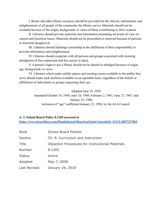I. Books and other library resources should be provided for the interest, information, and enlightenment of all people of the community the library serves. Materials should not be excluded because of the origin, background, or views of those contributing to their creation.

II. Libraries should provide materials and information presenting all points of view on current and historical issues. Materials should not be proscribed or removed because of partisan or doctrinal disapproval.

III. Libraries should challenge censorship in the fulfillment of their responsibility to provide information and enlightenment.

IV. Libraries should cooperate with all persons and groups concerned with resisting abridgment of free expression and free access to ideas.

V. A person's right to use a library should not be denied or abridged because of origin, age, background, or views.

VI. Libraries which make exhibit spaces and meeting rooms available to the public they serve should make such facilities available on an equitable basis, regardless of the beliefs or affiliations of individuals or groups requesting their use.

> Adopted June 19, 1939. Amended October 14, 1944; June 18, 1948; February 2, 1961; June 27, 1967; and January 23, 1980; inclusion of "age" reaffirmed January 23, 1996, by the ALA Council.

# **A. 3. School Board Policy 8.1205 accessed at**

**<https://www.boarddocs.com/fl/palmbeach/Board.nsf/goto?open&id=AVGLQ8572CB6#>**

| <b>Book</b>   | <b>School Board Policies</b>                            |
|---------------|---------------------------------------------------------|
| Section       | Ch. 8. Curriculum and Instruction                       |
| Title         | <b>Objection Procedures for Instructional Materials</b> |
| Number        | 8.1205                                                  |
| <b>Status</b> | Active                                                  |
| Adopted       | May 7, 2008                                             |
| Last Revised  | January 24, 2018                                        |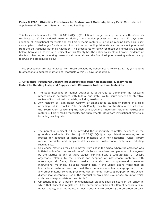**Policy 8.1205 - Objection Procedures for Instructional Materials,** Library Media Materials, and Supplemental Classroom Materials, including Reading Lists

This Policy implements Fla. Stat. § 1006.28(2)(a)2 relating to: objections by parents or this County's residents to: a) instructional materials during the adoption process or more than 30 days after adoption of instructional materials and b): library media materials, including reading lists. This Policy also applies to challenges for classroom instructional or reading list materials that are not purchased from the Instructional Materials Allocation. The procedures to follow for those challenges are outlined below; however, a parent or a resident of this County has the option to speak and proffer evidence at the Board hearing on adopting instructional materials and the Board adoption meeting without having followed the procedures below.

These procedures are distinguished from those provided by School Board Policy 8.122 (3) (g) relating to objections to adopted instructional materials within 30 days of adoption.

## 1. **Grievance Procedures Concerning Instructional Materials including, Library Media Materials, Reading Lists, and Supplemental Classroom Instructional Materials**

- a. The Superintendent or his/her designee is authorized to administer the following procedures in accordance with federal and state law to insure timely and objective review of instructional materials, including textbooks.
- b. Any resident of Palm Beach County, or emancipated student or parent of a child attending public school in Palm Beach County may file an objection with a school or the Board Clerk concerning the use of instructional materials including instructional materials, library media materials, and supplemental classroom instructional materials, including reading lists.
- a. The parent or resident will be provided the opportunity to proffer evidence on the grounds stated within Fla. Stat.  $\S$  1006.28(2)(a)(2), except objections relating to the process for adoption of instructional materials with non-categorical funds, library media materials, and supplemental classroom instructional materials, including reading lists.
- b. Challenged materials may be removed from use in the school where the objection was initiated only after the procedures of this Policy have been completed or if it is agreed by the District at any of these stages. Per Fla. Stat.  $\S$  1006.28(2)(a)(2), except objections relating to the process for adoption of instructional materials with non-categorical funds, library media materials, and supplemental classroom instructional materials, including reading lists, if the School Board "finds that an instructional material does not meet the criteria under sub-subparagraph a. or that any other material contains prohibited content under sub-subparagraph b., the school district shall discontinue use of the material for any grade level or age group for which such use is inappropriate or unsuitable."
- c. Objections filed by a parent or emancipated student shall be heard in the school in which that student is registered. If the parent has children at different schools in Palm Beach County, then the objection must specify which school(s) the objection pertains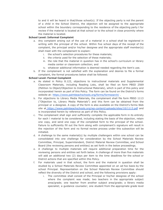to and it will be heard in that/those school(s). If the objecting party is not the parent of a child in the School District, the objection will be assigned to the appropriate school within the boundary corresponding to the residence of the objecting party t for review if the material is located at that school or to the school in close proximity where the material is located.

## **School Level: Informal Complaint**

- a. Any complaint arising out of the use of a material in a school shall be registered in writing with the principal of the school. Within five school days of the receipt of the complaint, the principal and/or his/her designee and the appropriate staff member(s) shall meet with the complainant to explain:
	- i. the school's selection procedures for these materials;
	- ii. the criteria used for the selection of these materials;
	- iii. the role that the material in question has in the school's curriculum or library media center or classroom collection; and
	- iv. whatever additional information is deemed needed regarding the item's use.
- b. If the complainant is not satisfied with the explanation and desires to file a formal complaint, the formal procedures below shall be followed.

#### **School Level: Formal Complaint**

- a. As stated in Policy 8.122, objections to instructional materials and Supplemental Classroom Materials, including Reading Lists, shall be filed on form PBSD 2569 (Petition to Object/Objection to Instructional Materials), which is part of this policy and incorporated herein as part of this Policy. The form can be found on the District's forms website at: <https://www.palmbeachschools.org/forms/formsearch/>.
- b. For objections to Library Media Materials**,** the complainant shall file form PBSD 1113 ("Objection to, Library Media Materials") and this form can be obtained from the principal or a designee. A copy of the form is also available on the District's forms Web site at <https://www.palmbeachschools.org/wp-content/uploads/sites/10/1113.pdf> and is incorporated herein by reference as part of this Policy.
- c. The complainant shall sign and sufficiently complete the applicable form in its entirety for each l material to be considered, including stating the basis of the objection, retain one copy, and send one copy of the completed form to the principal of the school. Failure to sufficiently fill out the form along with complainant's signature will result in the rejection of the form and no formal review process under this subsection will be initiated.
- d. A challenge to the same material(s) by multiple challengers within one school can be consolidated into one challenge for consideration by the School Materials Review Committee, Principal, Superintendent, District Material Review Committee, and School Board (the reviewing persons and entities) as set forth in the below proceedings.
- e. A challenge to multiple materials will require additional preparation time for the reviewing persons and entities set forth below. A challenge of more than five materials will add an additional two (2) days per item to the time deadlines for the school or District actions that are specified within this Policy.
- f. For materials used in that school, the form and the material in question shall be studied by a School Materials Review Committee appointed on an ad hoc basis by the school Principal. Representation on the School Materials Review Committee should reflect the diversity of the District and school, and the following provisions apply:
	- i. The committee shall consist of the Principal or his/her designee of the school where the complaint was made; two teachers in the appropriate subject area/grade; one teacher from another subject area/grade; a library media specialist; a guidance counselor; one student from the appropriate grade level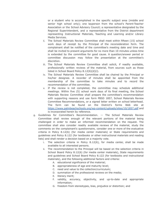or a student who is accomplished in the specific subject area (middle and senior high school only); one layperson from the school's Parent-Teacher Association or the School Advisory Council; a representative designated by the Regional Superintendent, and a representative from the District department representing Instructional Materials, Teaching and Learning and/or Library Media Services.

- ii. The School Materials Review Committee shall meet within fifteen (15) school work days of receipt by the Principal of the reconsideration form. The complainant shall be notified of the committee's meeting date and time and shall be invited to present arguments for no more than 10 minutes unless time is extended by the committee for good cause. A question/answer period or committee discussion may follow the presentation at the committee's discretion.
- iii. The School Materials Review Committee shall solicit, if readily available, professionally written reviews of the material, from sources such as those listed in School Board Policy 8.12(6)(d)(i).
- iv. The School Materials Review Committee shall be chaired by the Principal or his/her designee. A recorder of minutes shall be appointed from the membership of the committee to take minutes and to record the recommendation of the committee.
- v. If the review is not completed, the committee may schedule additional meetings. Within five (5) school work days of its final meeting, the School Materials Review Committee shall prepare the committee's recommendation with supporting reasons and use form PBSD 1857, School Materials Review Committee Recommendations, or a signed letter written on school letterhead. The form can be found on the District's forms Web site at <https://www.palmbeachschools.org/wp-content/uploads/sites/10/1857.pdf> and is incorporated herein by reference.
- g. Guidelines for Committee's Recommendation. -- The School Materials Review Committee shall review enough of the relevant portions of the material being challenged in order to make an informed recommendation on the request. The committee shall also consider readily available reviews of the material, study the comments on the complainant's questionnaire, consider one or more of the evaluative criteria in Policy 8.12(6) (for media center materials) or State requirements and guidelines and Policy 8.122 (for textbooks or other instructional materials and reading lists) and shall render a decision based on a majority vote.
	- i. The selection criteria in Policy 8.12(6), for media center, shall be made available to all interested persons.
	- ii. The recommendation to the Principal will be based on the selection criteria in School Board Policy 8.12(6) (for media center materials), State requirements and guidelines and School Board Policy 8.122 (for textbooks and instructional materials), and the following additional factors and criteria:
		- A. educational significance of the material;
		- B. appropriateness of age and maturity level;
		- C. need and value to the collection/curriculum;
		- D. summation of the professional reviews on the media;
		- E. literary merit;
		- F. validity, accuracy, objectivity, and up-to-date and appropriate information;
		- G. freedom from stereotypes, bias, prejudice or distortion; and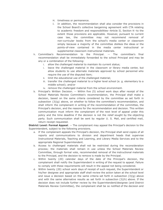- H. timeliness or permanence.
- I. In addition, the recommendation shall also consider the provisions in the School Board's collective bargaining agreement with CTA relating to academic freedom and responsibilities--Article II, Section K--to the extent those provisions are applicable. However, pursuant to current case law, the committee may not recommend removal of non-curricular books from the school's media center or classroom simply because a majority of the committee dislikes the ideas or the points-of-view contained in the media center instructional or supplemental classroom instructional materials.
- h. Committee's Recommendation to the Principal. -- The committee's final recommendation shall be immediately forwarded to the school Principal and may be any or a combination of the following:
	- i. allow the challenged material to maintain its current status;
	- i. leave the challenged material in the classroom or library media center, but allow students to use alternate materials approved by school personnel who require the use of the disputed item;
	- ii. limit the educational use of the challenged material;
	- iii. transfer the challenged material to a higher level school (e. g. elementary to a middle school); and/or
	- iv. remove the challenged material from the school environment.
- b. Principal's Written Decision. -- Within five (5) school work days after receipt of the School Materials Review Committee's recommendation, the Principal shall make a decision, based on the same criteria considered by the committee as set forth in subsection (3)(g) above, on whether to follow the committee's recommendation, and shall inform the complainant in writing of the recommendation of the committee, the Principal's decision, and the reasons for the recommendation and decision. This written communication must inform the complainant of the next level of appeal under this policy and the time deadline if the decision is not the relief sought by the objecting party. Such communication shall be sent by regular U. S. Mail, and certified mail, return receipt requested.

**District Level: Formal Appeal**. -- The complainant may appeal the Principal's decision to the Superintendent, subject to the following provisions.

- a. If the complainant appeals the Principal's decision, the Principal shall send copies of all reports and communications to division and department heads that supervise Instructional Materials, Teaching and Learning, and Library Media Services and to the appropriate Regional Superintendent.
- b. Access to challenged materials shall not be restricted during the reconsideration process; the materials shall remain in use unless the School Materials Review Committee, through formal vote, recommended removal of the instructional materials to the Principal, and the decision to remove is made by the Principal.
- c. Within twenty (20) calendar days of the date of the Principal's decision, the complainant shall notify the Superintendent in writing of the request to appeal. Failure to comply with these requirements will result in the appeal not being considered.
- d. Within twenty (20) school work days of receipt of such request, the Superintendent or his/her designee and appropriate staff shall review the action taken at the school level and issue a decision based on the same criteria set forth in subsection  $(3)(g)$  above and with the same alternative results as set forth in subsection  $(3)(h)$  above. If the decision does not include further review by the Superintendent/designee (and District Materials Review Committee), the complainant shall be so notified of the decision and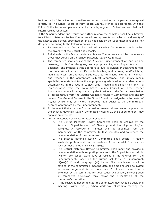be informed of the ability and deadline to request in writing an appearance to appeal directly to The School Board of Palm Beach County, Florida in accordance with this Policy. Notice to the complainant shall be made by regular U. S. Mail and certified mail, return receipt requested.

- e. If the Superintendent finds cause for further review, the complaint shall be submitted to a District Materials Review Committee whose representation reflects the diversity of the District and school, appointed on an ad hoc basis by the Superintendent or his/her designee, according to the following provisions:
	- i. Representation on District Instructional Materials Committees should reflect the diversity of the District and schools.
	- i. Individuals on the District Materials Review Committee cannot be the same as those that served on the School Materials Review Committee.
	- ii. The committee shall consist of the Assistant Superintendent of Teaching and Learning, or his/her designee; an appropriate Regional Superintendent or designee; one Principal at the appropriate level; a division or department head that supervises Instructional Materials, Teaching and Learning, and/or Library Media Services, an appropriate subject area Administrator/Program Planner; one teacher in the appropriate subject area/grade; one library media specialist; one student from the appropriate grade level or a student who is accomplished in the specific subject area (middle and senior high only); a representative from the Palm Beach County Council of Parent-Teacher Associations who will be appointed by the President of the District Association, a representative from the District Academic Advisory Committee; and one lay person. The General Counsel to the School Board, or designated attorney(s) of his/her Office, may be invited to provide legal advice to the Committee, if deemed appropriate by the Superintendent.
	- iii. In the event that a person from a position named above cannot be present at the District Materials Review Committee meeting(s), the Superintendent may appoint an alternate.
	- iv. District Materials Review Committee Procedures
		- A. The District Materials Review Committee shall be chaired by the Assistant Superintendent of Teaching and Learning or his/her designee. A recorder of minutes shall be appointed from the membership of the committee to take minutes and to record the recommendation of the committee.
		- B. The District Materials Review Committee shall solicit, if readily available, professionally written reviews of the material, from sources such as those listed in Policy 8.12(6)(d)(i).
		- C. The District Materials Review Committee shall meet and provide a recommendation with supporting reasons to the Superintendent within twenty (20) school work days of receipt of the referral from the Superintendent, based on the criteria set forth in subparagraph  $(4)(e)(v)$  D and paragraph (vi) below. The complainant shall be notified of the committee's meeting date and time and shall be invited to present argument for no more than 10 minutes, unless time is extended by the committee for good cause. A question/answer period or committee discussion may follow the presentation at the committee's discretion.
		- D. If the review is not completed, the committee may schedule additional meetings. Within five (5) school work days of its final meeting, the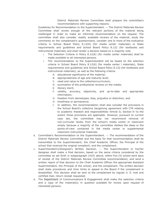District Materials Review Committee shall prepare the committee's recommendations with supporting reasons.

Guidelines for Recommendation to the Superintendent. -- The District Materials Review Committee shall review enough of the relevant portions of the material being challenged in order to make an informed recommendation on the request. The committee shall also consider readily available reviews of the material, study the comments on the complainant's questionnaire, consider one or more of the evaluative criteria in School Board Policy 8.12(6) (for media center materials) or State requirements and guidelines and School Board Policy 8.122 (for textbooks and instructional materials) and shall render a decision based on a majority vote.

- i. The Selection Criteria in Policy 8.12(6) (for media center materials) shall be made available to all interested persons.
- i. The recommendation to the Superintendent will be based on the selection criteria in School Board Policy 8.12(6) (for media center l materials), State requirements and guidelines and School Board Policy 8.122 (for textbooks and instructional materials), as well as the following criteria:
	- A. educational significance of the material;
	- B. appropriateness of age and maturity level;
	- C. need and value to the collection/curriculum;
	- D. summation of the professional reviews on the media;
	- E. literary merit;
	- F. validity, accuracy, objectivity, and up-to-date and appropriate information;
	- G. freedom from stereotypes, bias, prejudice or distortion; and
	- H. timeliness or permanence.
	- I. In addition, the recommendation shall also consider the provisions in the School Board's collective bargaining agreement with CTA relating to academic freedom and responsibilities--Article II, Section K--to the extent those provisions are applicable. However, pursuant to current case law, the committee may not recommend removal of non-curricular books from the school's media center or classroom simply because a majority of the committee dislikes the ideas or the points-of-view contained in the media center or supplemental classroom instructional materials.
- b. Committee's Recommendation to the Superintendent. -- The recommendation of the District Materials Review Committee and the basis for that recommendation shall be transmitted to the Superintendent; the Chief Academic Officer, the Principal of the school that received the original complaint; and the complainant.
- c. Superintendent's/Designee's Written Decision. -- The Superintendent or his/her designee shall make a final decision, based on the same criteria considered by the committee as set forth in subparagraph (4)(f) above, within five (5) school work days of receipt of the District Materials Review Committee recommendation, and send a written report of that decision to the Chief Academic Officer, the appropriate Assistant Superintendent, the Principal of the school; and the complainant. The written decision shall state procedures and time limits to appeal to the Board if the complainant is dissatisfied. This decision shall be sent to the complainant by regular U. S. mail and certified mail, return receipt requested.
- d. The Department of Communications & Engagement shall make the selection criteria and a copy of the material(s) in question available for review upon request of interested persons.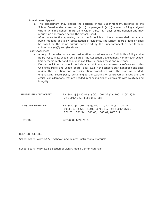#### **Board Level Appeal**

- a. The complainant may appeal the decision of the Superintendent/designee to the School Board under subsection (4)(b) or paragraph (4)(d) above by filing a signed writing with the School Board Clerk within thirty (30) days of the decision and may request an appearance before the School Board.
- b. After notice to the appealing party, the School Board Level review shall occur at a public meeting and allow presentation of evidence. The School Board's decision shall be based on the same criteria considered by the Superintendent as set forth in subsections (4)(f) and (h) above.

Policy Awareness

- a. A copy of the selection and reconsideration procedures as set forth in this Policy and in Board Policy 8.12 should be a part of the Collection Development Plan for each school library media center and should be available for easy access and reference.
- b. Each school Principal should include at a minimum, a summary or references to this Challenge Policy and School Board Policy 8.12 in the school's staff handbook and shall review the selection and reconsideration procedures with the staff as needed, emphasizing Board policy pertaining to the teaching of controversial issues and the ethical considerations that are needed in handling citizen complaints with courtesy and integrity.

| RULEMAKING AUTHORITY: | Fla. Stat. §,§ 120.81 (1) (a); 1001.32 (2); 1001.41(1)(2) &<br>$(5)$ ; 1001.42 $(2)(11)(13)$ & $(28)$                                                                     |
|-----------------------|---------------------------------------------------------------------------------------------------------------------------------------------------------------------------|
| LAWS IMPLEMENTED:     | Fla. Stat. §§ 1001.32(2); 1001.41(i)(2) & (5); 1001.42<br>$(2)(11)(13)$ & $(28)$ ; 1001.42(7) & $(17)(a)$ ; 1001.43(2)(3);<br>1006.28; 1006.34; 1006.40; 1006.41; 847.012 |
| HISTORY:              | 5/7/2008; 1/24/2018                                                                                                                                                       |

RELATED POLICIES:

School Board Policy 8.122 Textbooks and Related Instructional Materials

School Board Policy 8.12 Selection of Library Media Center Materials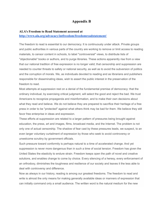# **Appendix B**

## **ALA's Freedom to Read Statement accessed at**

**<http://www.ala.org/advocacy/intfreedom/freedomreadstatement/>**

The freedom to read is essential to our democracy. It is continuously under attack. Private groups and public authorities in various parts of the country are working to remove or limit access to reading materials, to censor content in schools, to label "controversial" views, to distribute lists of "objectionable" books or authors, and to purge libraries. These actions apparently rise from a view that our national tradition of free expression is no longer valid; that censorship and suppression are needed to counter threats to safety or national security, as well as to avoid the subversion of politics and the corruption of morals. We, as individuals devoted to reading and as librarians and publishers responsible for disseminating ideas, wish to assert the public interest in the preservation of the freedom to read.

Most attempts at suppression rest on a denial of the fundamental premise of democracy: that the ordinary individual, by exercising critical judgment, will select the good and reject the bad. We trust Americans to recognize propaganda and misinformation, and to make their own decisions about what they read and believe. We do not believe they are prepared to sacrifice their heritage of a free press in order to be "protected" against what others think may be bad for them. We believe they still favor free enterprise in ideas and expression.

These efforts at suppression are related to a larger pattern of pressures being brought against education, the press, art and images, films, broadcast media, and the Internet. The problem is not only one of actual censorship. The shadow of fear cast by these pressures leads, we suspect, to an even larger voluntary curtailment of expression by those who seek to avoid controversy or unwelcome scrutiny by government officials.

Such pressure toward conformity is perhaps natural to a time of accelerated change. And yet suppression is never more dangerous than in such a time of social tension. Freedom has given the United States the elasticity to endure strain. Freedom keeps open the path of novel and creative solutions, and enables change to come by choice. Every silencing of a heresy, every enforcement of an orthodoxy, diminishes the toughness and resilience of our society and leaves it the less able to deal with controversy and difference.

Now as always in our history, reading is among our greatest freedoms. The freedom to read and write is almost the only means for making generally available ideas or manners of expression that can initially command only a small audience. The written word is the natural medium for the new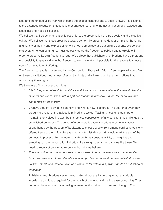idea and the untried voice from which come the original contributions to social growth. It is essential to the extended discussion that serious thought requires, and to the accumulation of knowledge and ideas into organized collections.

We believe that free communication is essential to the preservation of a free society and a creative culture. We believe that these pressures toward conformity present the danger of limiting the range and variety of inquiry and expression on which our democracy and our culture depend. We believe that every American community must jealously guard the freedom to publish and to circulate, in order to preserve its own freedom to read. We believe that publishers and librarians have a profound responsibility to give validity to that freedom to read by making it possible for the readers to choose freely from a variety of offerings.

The freedom to read is guaranteed by the Constitution. Those with faith in free people will stand firm on these constitutional guarantees of essential rights and will exercise the responsibilities that accompany these rights.

We therefore affirm these propositions:

- 1. *It is in the public interest for publishers and librarians to make available the widest diversity of views and expressions, including those that are unorthodox, unpopular, or considered dangerous by the majority.*
- 2. Creative thought is by definition new, and what is new is different. The bearer of every new thought is a rebel until that idea is refined and tested. Totalitarian systems attempt to maintain themselves in power by the ruthless suppression of any concept that challenges the established orthodoxy. The power of a democratic system to adapt to change is vastly strengthened by the freedom of its citizens to choose widely from among conflicting opinions offered freely to them. To stifle every nonconformist idea at birth would mark the end of the democratic process. Furthermore, only through the constant activity of weighing and selecting can the democratic mind attain the strength demanded by times like these. We need to know not only what we believe but why we believe it.
- 3. *Publishers, librarians, and booksellers do not need to endorse every idea or presentation they make available. It would conflict with the public interest for them to establish their own political, moral, or aesthetic views as a standard for determining what should be published or circulated.*
- 4. Publishers and librarians serve the educational process by helping to make available knowledge and ideas required for the growth of the mind and the increase of learning. They do not foster education by imposing as mentors the patterns of their own thought. The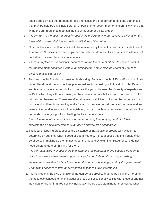people should have the freedom to read and consider a broader range of ideas than those that may be held by any single librarian or publisher or government or church. It is wrong that what one can read should be confined to what another thinks proper.

- 5. *It is contrary to the public interest for publishers or librarians to bar access to writings on the basis of the personal history or political affiliations of the author.*
- 6. No art or literature can flourish if it is to be measured by the political views or private lives of its creators. No society of free people can flourish that draws up lists of writers to whom it will not listen, whatever they may have to say.
- 7. *There is no place in our society for efforts to coerce the taste of others, to confine adults to the reading matter deemed suitable for adolescents, or to inhibit the efforts of writers to achieve artistic expression.*
- 8. To some, much of modern expression is shocking. But is not much of life itself shocking? We cut off literature at the source if we prevent writers from dealing with the stuff of life. Parents and teachers have a responsibility to prepare the young to meet the diversity of experiences in life to which they will be exposed, as they have a responsibility to help them learn to think critically for themselves. These are affirmative responsibilities, not to be discharged simply by preventing them from reading works for which they are not yet prepared. In these matters values differ, and values cannot be legislated; nor can machinery be devised that will suit the demands of one group without limiting the freedom of others.
- 9. *It is not in the public interest to force a reader to accept the prejudgment of a label characterizing any expression or its author as subversive or dangerous.*
- 10. The ideal of labeling presupposes the existence of individuals or groups with wisdom to determine by authority what is good or bad for others. It presupposes that individuals must be directed in making up their minds about the ideas they examine. But Americans do not need others to do their thinking for them.
- 11. *It is the responsibility of publishers and librarians, as guardians of the people's freedom to read, to contest encroachments upon that freedom by individuals or groups seeking to impose their own standards or tastes upon the community at large; and by the government whenever it seeks to reduce or deny public access to public information.*
- 12. It is inevitable in the give and take of the democratic process that the political, the moral, or the aesthetic concepts of an individual or group will occasionally collide with those of another individual or group. In a free society individuals are free to determine for themselves what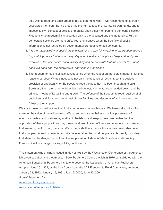they wish to read, and each group is free to determine what it will recommend to its freely associated members. But no group has the right to take the law into its own hands, and to impose its own concept of politics or morality upon other members of a democratic society. Freedom is no freedom if it is accorded only to the accepted and the inoffensive. Further, democratic societies are more safe, free, and creative when the free flow of public information is not restricted by governmental prerogative or self-censorship.

- 13. *It is the responsibility of publishers and librarians to give full meaning to the freedom to read by providing books that enrich the quality and diversity of thought and expression. By the exercise of this affirmative responsibility, they can demonstrate that the answer to a "bad" book is a good one, the answer to a "bad" idea is a good one.*
- 14. The freedom to read is of little consequence when the reader cannot obtain matter fit for that reader's purpose. What is needed is not only the absence of restraint, but the positive provision of opportunity for the people to read the best that has been thought and said. Books are the major channel by which the intellectual inheritance is handed down, and the principal means of its testing and growth. The defense of the freedom to read requires of all publishers and librarians the utmost of their faculties, and deserves of all Americans the fullest of their support.

We state these propositions neither lightly nor as easy generalizations. We here stake out a lofty claim for the value of the written word. We do so because we believe that it is possessed of enormous variety and usefulness, worthy of cherishing and keeping free. We realize that the application of these propositions may mean the dissemination of ideas and manners of expression that are repugnant to many persons. We do not state these propositions in the comfortable belief that what people read is unimportant. We believe rather that what people read is deeply important; that ideas can be dangerous; but that the suppression of ideas is fatal to a democratic society. Freedom itself is a dangerous way of life, but it is ours.

This statement was originally issued in May of 1953 by the Westchester Conference of the American Library Association and the American Book Publishers Council, which in 1970 consolidated with the American Educational Publishers Institute to become the Association of American Publishers. Adopted June 25, 1953, by the ALA Council and the AAP Freedom to Read Committee; amended January 28, 1972; January 16, 1991; July 12, 2000; June 30, 2004.

*A Joint Statement by:*

[American Library Association](http://www.ala.org/) [Association of American Publishers](http://www.publishers.org/)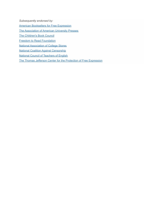*Subsequently endorsed by:*

[American Booksellers for Free Expression](http://www.bookweb.org/abfe)

[The Association of American University Presses](http://www.aaupnet.org/)

[The Children's Book Council](http://www.cbcbooks.org/)

**[Freedom to Read Foundation](http://www.ftrf.org/)** 

[National Association of College Stores](http://www.nacs.org/)

[National Coalition Against Censorship](http://www.ncac.org/)

[National Council of Teachers of English](http://www.ncte.org/)

[The Thomas Jefferson Center for the Protection of Free Expression](http://www.tjcenter.org/)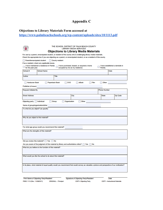# **Appendix C**

# **Objections to Library Materials Form accessed at**

PBSD 1113 (Rev. 11/28/2017)

ORIGINAL - Principal

**<https://www.palmbeachschools.org/wp-content/uploads/sites/10/1113.pdf>**

| THE SCHOOL DISTRICT OF PALM BEACH COUNTY<br><b>LIBRARY MEDIA SERVICES</b>                                                                     |                                              |
|-----------------------------------------------------------------------------------------------------------------------------------------------|----------------------------------------------|
| <b>Objections to Library Media Materials</b>                                                                                                  |                                              |
| For use by a parent, emancipated student, or resident of the county who is challenging library media materials.                               |                                              |
| Check the appropriate box if you are objecting as a parent, or emancipated student, or as a resident of this county.                          |                                              |
| Parent/emancipated student<br><b>County resident</b>                                                                                          |                                              |
| If as a resident, check any applicable boxes.<br>I have maintained a residence in Florida                                                     |                                              |
| I have purchased, leased, or acquired a home<br>for the past year.<br>occupied by me as my residence.                                         | I have established a domicile in<br>Florida. |
| School #<br><b>School Name</b>                                                                                                                | Date                                         |
| Author<br>Title                                                                                                                               |                                              |
|                                                                                                                                               |                                              |
| <b>Hardcover Book</b><br>Paperback Book<br><b>DVD</b><br>eBook<br>Film                                                                        | Other                                        |
| Publisher (if known)                                                                                                                          |                                              |
| <b>Request Initiated By</b>                                                                                                                   | <b>Phone Number</b>                          |
|                                                                                                                                               |                                              |
| <b>Street Address</b><br>City                                                                                                                 | <b>State</b><br>Zip Code                     |
| Objecting party   Individual<br>Other<br>Group<br>Organization                                                                                |                                              |
| Name of group/organization/other                                                                                                              |                                              |
| To what do you object? (be specific)                                                                                                          |                                              |
|                                                                                                                                               |                                              |
| Why do you object to this material?                                                                                                           |                                              |
|                                                                                                                                               |                                              |
|                                                                                                                                               |                                              |
| For what age group would you recommend this material?                                                                                         |                                              |
| What are the strengths of this material?                                                                                                      |                                              |
|                                                                                                                                               |                                              |
|                                                                                                                                               |                                              |
| Did you review this material? Yes No                                                                                                          |                                              |
| Are you aware of the judgment of this material by library and authoritative critics?<br>1 Yes<br>No                                           |                                              |
| What do you believe is the function of this material?                                                                                         |                                              |
|                                                                                                                                               |                                              |
| What would you like the school to do about this material?                                                                                     |                                              |
|                                                                                                                                               |                                              |
|                                                                                                                                               |                                              |
| In its place, what material of equal quality would you recommend that would convey as valuable a picture and perspective of our civilization? |                                              |
|                                                                                                                                               |                                              |
|                                                                                                                                               |                                              |
|                                                                                                                                               |                                              |
| Print Name of Objecting Party/Resident<br>Signature of Objecting Party/Resident                                                               | Date                                         |

COPY- Objecting Party

COPY - Instructional Materials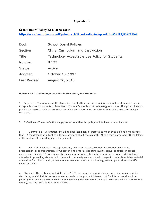## **Appendix D**

## **School Board Policy 8.123 accessed at**

**<https://www.boarddocs.com/fl/palmbeach/Board.nsf/goto?open&id=AVGLQ8572CB6#>**

| <b>Book</b>   | <b>School Board Policies</b>                  |
|---------------|-----------------------------------------------|
| Section       | Ch. 8. Curriculum and Instruction             |
| Title         | Technology Acceptable Use Policy for Students |
| Number        | 8.123                                         |
| <b>Status</b> | Active                                        |
| Adopted       | October 15, 1997                              |
| Last Revised  | August 26, 2015                               |

## **Policy 8.123 Technology Acceptable Use Policy for Students**

1. Purpose. -- The purpose of this Policy is to set forth terms and conditions as well as standards for the acceptable uses by students of Palm Beach County School District technology resources. This policy does not prohibit or restrict public access to inspect data and information on publicly available District technology resources.

2. Definitions - These definitions apply to terms within this policy and its incorporated Manual.

a. Defamation - Defamation, including libel, has been interpreted to mean that a plaintiff must show that (1) the defendant published a false statement about the plaintiff, (2) to a third party, and (3) the falsity of the statement caused injury to the plaintiff.

b. Harmful to Minors - Any reproduction, imitation, characterization, description, exhibition, presentation, or representation, of whatever kind or form, depicting nudity, sexual conduct, or sexual excitement when it: (a) Predominantly appeals to prurient, shameful, or morbid interest; (b) is patently offensive to prevailing standards in the adult community as a whole with respect to what is suitable material or conduct for minors; and (c) taken as a whole is without serious literary, artistic, political, or scientific value for minors.

c. Obscene - The status of material which: (a) The average person, applying contemporary community standards, would find, taken as a whole, appeals to the prurient interest; (b) Depicts or describes, in a patently offensive way, sexual conduct as specifically defined herein; and (c) Taken as a whole lacks serious literary, artistic, political, or scientific value.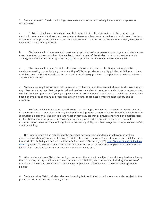3. Student access to District technology resources is authorized exclusively for academic purposes as stated below.

a. District technology resources include, but are not limited to, electronic mail, Internet access, electronic records and databases, and computer software and hardware, including biometric record readers. Students may be provided or have access to electronic mail if authorized by the Superintendent/designee for educational or learning purposes.

b. Students shall not use any such resource for private business, personal use or gain, and student use must be related to the curriculum, the academic development of the student, or a school extracurricular activity, as defined in Fla. Stat. § 1006.15 ([2\)](http://www.flsenate.gov/statutes/index.cfm?p=1&App_mode=Display_Statute&URL=Ch1006%2FSec15%20.HTM&StatuteYear=2009) and as provided within School Board Policy 5.60.

c. Students shall not use District technology resources for hacking, cheating, criminal activity, vandalism, sexting, cyber bullying, circumventing of District proxies or security policies, violating any state or federal laws or School Board policies, or violating third-party providers' acceptable use policies or terms and conditions of use.

d. Students are required to keep their passwords confidential, and they are not allowed to disclose them to any other person, except that the principal and teacher may allow for relaxed standards as to passwords for students in lower grades or of younger ages only, or if certain students require a reasonable accommodation based on impaired cognitive or processing ability, or other recognized comprehension deficit, due to disability.

e. Students will have a unique user id, except IT may approve in certain situations a generic user id. Students shall use a generic user id only for the intended purpose as authorized by School Administrators or Instructional personnel. The principal and teacher may request that IT provide shortened or simplified user ids for students in lower grades or of younger ages only, or if certain students require a reasonable accommodation based on impaired cognitive or processing ability, or other recognized comprehension deficit, due to disability.

4. The Superintendent has established the accepted network user standards of behavior, as well as guidelines, which apply to students using District technology resources. These standards and guidelines are found within this Policy and within the District's Information Technology (IT) User Standards and [Guidelines](http://wcms.palmbeachschools.org/it/wp-content/uploads/sites/4/2016/05/IT-User-Standards-and-Guidelines-Manual.pdf) [Manual](http://wcms.palmbeachschools.org/it/wp-content/uploads/sites/4/2016/05/IT-User-Standards-and-Guidelines-Manual.pdf) ("Manual"). This Manual is specifically incorporated herein by reference as part of this Policy and is located on the District's Information Technology Security web site.

5. When a student uses District technology resources, the student is subject to and is required to abide by the provisions, terms, conditions and standards within this Policy and the Manual, including the Notice of Conditions for Student Use of District Technology, Appendix 1 to the Manual, as well as other applicable policies.

6. Students using District wireless devices, including but not limited to cell phones, are also subject to the provisions within School Board Policy 5.183.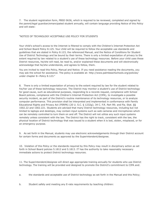7. The student registration form, PBSD 0636, which is required to be reviewed, completed and signed by the parent/legal guardian/emancipated student annually, will contain language providing Notice of this Policy and will state:

#### "NOTICE OF TECHNOLOGY ACCEPTABLE USE POLICY FOR STUDENTS

Your child's school's access to the Internet is filtered to comply with the Children's Internet Protection Act and School Board Policy 8.125. Your child will be required to follow the acceptable use standards and guidelines that are stated in Policy 8.123, the referenced Manual, and the Notice of Conditions for Student Use of District Technology and be bound by their terms. There is only a limited expectation of privacy to the extent required by law related to a student's use of these technology resources. Before your child uses these District resources, he/she will read, be read to, and/or explained these documents and will electronically acknowledge that he/she understands, and agrees to follow, them.

You are invited to read this Policy, Manual and Notice. If you need assistance reading the documents, you may ask the school for assistance. The policy is available at: http://www.palmbeachschools.org/policies/ under chapter 8—Policy 8.123."

8. There is only a limited expectation of privacy to the extent required by law for the student related to his/her use of these technology resources. The District may monitor a student's use of District technology for good cause, such as educational purposes, responding to a records request, compliance with School Board policies, compliance with the Children's Internet Protection Act (CIPA), to investigate a possible security incident, as part of the District's routine maintenance of its technology resources, or to analyze computer performance. This provision shall be interpreted and implemented in conformance with Family Educational Rights and Privacy Act (FERPA) (20 U. S.C. § 1232g); 34 C. F.R. Part 99; and Fla. Stat. §§ 1002.22 and 1002.221. Students are advised that many District technology resources, including but not limited to laptops and desktops, may contain input systems such as web cameras and microphones which can be remotely controlled to turn them on and off. The District will not utilize any such input systems remotely unless consistent with the law. The District has the right to track, consistent with the law, the physical location of District technology that was issued to a student when it is lost, stolen, misplaced, or for an emergency purpose.

9. As set forth in the Manual, students may use electronic acknowledgements through their District account for certain forms and documents as approved by the Superintendent/designee.

10. Violation of this Policy or the standards required by this Policy may result in disciplinary action as set forth in School Board policies 5.1812 and 5.1813. IT has the authority to take reasonably necessary immediate actions to protect District technology resources.

11. The Superintendent/designee will direct age appropriate training annually for students who use District technology. The training will be provided and designed to promote the District's commitment to CIPA and:

a. the standards and acceptable use of District technology as set forth in the Manual and this Policy;

b. Student safety and meeting any E-rate requirements by teaching children: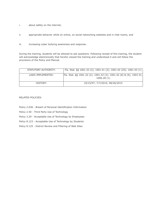- i. about safety on the internet,
- ii. appropriate behavior while on online, on social networking websites and in chat rooms, and
- iii. increasing cyber bullying awareness and response.

During the training, students will be allowed to ask questions. Following receipt of this training, the student will acknowledge electronically that he/she viewed the training and understood it and will follow the provisions of the Policy and Manual.

| STATUTORY AUTHORITY: | Fla. Stat. §§ 1001.32 (2); 1001.41 (2); 1001.42 (25); 1001.43 (1)   |
|----------------------|---------------------------------------------------------------------|
| LAWS IMPLEMENTED:    | Fla. Stat. §§ 1001.32 (2); 1001.43 (3); 1001.42 (8) & (9); 1003.31; |
|                      | 1006.28(1)                                                          |
| HISTORY:             | 10/15/97; 7/7/2010; 08/26/2015                                      |

#### RELATED POLICIES:

- Policy 2.036 Breach of Personal Identification Information
- Policy 2.50 Third Party Use of Technology
- Policy 3.29 Acceptable Use of Technology by Employees
- Policy 8.123 Acceptable Use of Technology by Students
- Policy 8.125 District Review and Filtering of Web Sites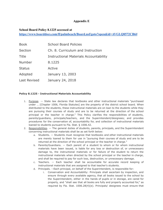## **Appendix E**

## **School Board Policy 8.1225 accessed at**

**<https://www.boarddocs.com/fl/palmbeach/Board.nsf/goto?open&id=AVGLQ8572CB6#>**

| <b>Book</b>   | <b>School Board Policies</b>                  |
|---------------|-----------------------------------------------|
| Section       | Ch. 8. Curriculum and Instruction             |
| <b>Title</b>  | <b>Instructional Materials Accountability</b> |
| Number        | 8.1225                                        |
| <b>Status</b> | Active                                        |
| Adopted       | January 13, 2003                              |
| Last Revised  | January 24, 2018                              |

## **Policy 8.1225 - Instructional Materials Accountability**

- 1. Purpose. -- State law declares that textbooks and other instructional materials "purchased under … [Chapter 1006, Florida Statutes] are the property of the district school board. When distributed to the students, these instructional materials are on loan to the students while they are pursuing their courses of study and are to be returned at the direction of the school principal or the teacher in charge." This Policy clarifies the responsibilities of students, parents/guardians, principals/teachers, and the Superintendent/designees; and provides procedures for the conservation of, accountability for, and collection of instructional materials loaned to students pursuant to Fla. Stat. § 1006.42.
- 2. Responsibilities. -- The general duties of students, parents, principals, and the Superintendent concerning instructional materials shall be as set forth below:
	- a. Students. -- Students must recognize that textbooks and other instructional materials are merely loaned to them for use in "pursuing their courses of study and are to be returned at the direction of the school principal or the teacher in charge."
	- b. Parents/Guardians. -- Each parent of a student to whom or for whom instructional materials have been issued, is liable for any loss or destruction of, or unnecessary damage to, the instructional materials or for failure of the student to return the instructional materials when directed by the school principal or the teacher in charge, and shall be required to pay for such loss, destruction, or unnecessary damage.
	- c. Teachers. -- Each teacher shall be accountable for accurate record keeping of instructional materials that are assigned to that teacher's students.
	- d. Principals. --Each principal, on behalf of the Superintendent, is responsible for:
		- i. Conservation and Accountability: Principals shall ascertain by inspection, and ensure through every available agency, that all books issued to the school by the Superintendent, either in the hands of pupils or in storage, are cared for properly, and "shall see that all books are fully and properly accounted for," as required by Fla. Stat. 1006.28(4)(e). Principals/ designees must ensure that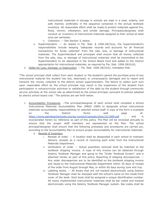instructional materials in storage in schools are kept in a neat, orderly, and safe manner, preferably in the sequence contained in the annual textbook inventory. All reasonable effort shall be made to protect materials against fire, flood, vermin, infestation, and similar damage. Principals/designees shall conduct an inventory of instructional materials assigned to their school at least once per semester.

- ii. Collection. -- See Section 3, below.
- e. Superintendent. -- As stated in Fla. Stat. § 1006.28(3)(a), the Superintendent's responsibilities include keeping "adequate records and accounts for all financial transactions for funds collected" from the sale, loss, or damage of instructional materials. The Superintendent and principals shall ensure that all money collected from the sale, loss, or damage of instructional materials shall be transmitted to the Superintendent to be deposited in the School Board fund and added to the District appropriation for instructional materials, as required by Fla. Stat. 1006.28(4)(d).
- 3. Debts for Loss, Damage, or Destruction. -- Fla. Stat. 1006.28(4)(b), mandates that:

"The school principal shall collect from each student or the student's parent the purchase price of any instructional material the student has lost, destroyed, or unnecessarily damaged and to report and transmit the money collected to the district school superintendent. The failure to collect such sum upon reasonable effort by the school principal may result in the suspension of the student from participation in extracurricular activities or satisfaction of the debt by the student through community service activities at the school site as determined by the school principal, pursuant to policies adopted by district school board rule." The policies are set forth below.

- 1. Accountability Procedures. --The principal/designee of each school shall complete a School Instructional Materials Accountability Plan (PBSD 1989) to designate school instructional materials accountability responsibilities to selected school staff. A copy of the form is available on the District forms web page at: <https://www.palmbeachschools.org/wp-content/uploads/sites/10/1989.pdf> , and is incorporated herein by reference as part of this policy. The Plan will be reviewed annually to ensure that the proper staff members are represented on the Plan. The school principal/designee shall ensure that the following processes and procedures are carried out, according to the Accountability Plan to ensure proper accountability for instructional materials:
	- a. Receipt of Inventory
		- i. Receipt of order. -- A location shall be designated in each school to maintain delivery receipts as a record of receiving each order from the Instructional Materials Department.
		- ii. Verification of order. -- Actual quantities received shall be matched to the textbook shipping invoice. A copy of this invoice can be obtained through Destiny Textbook Manager and going to the "Order Textbook Screen", and is attached hereto as part of this policy. Reporting of shipping discrepancies. -- Any order discrepancies are to be identified on the textbook shipping invoice and faxed to the Instructional Materials Department within 30 days of receipt of the order from August through May, or within 60 days during June and July.
		- iii. Labeling books. -- All books that are not tracked electronically using Destiny Textbook Manager shall be stamped with the school's name on the inside front cover of the book. Each book shall be assigned a unique identification number. All newly implemented instructional materials shall be bar coded and tracked electronically using the Destiny Textbook Manager system. Bar-codes shall be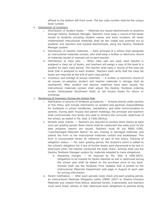affixed to the bottom left front cover. The bar code number shall be the unique book number.

- b. Distribution of Inventory
	- i. Distribution of student books. -- Materials are issued electronically to students through Destiny Textbook Manager. Teachers must keep a record of the books issued to students including student names and book numbers. All newly implemented instructional materials shall be bar coded and scanned out to students and teachers and tracked electronically using the Destiny Textbook Manager system.
	- ii. Distribution of teacher materials. -- Each principal of a school shall designate an instructional materials contact, who shall keep a written or electronic record of materials issued or scanned out to each teacher.
	- iii. Distribution of class sets. -- When class sets are used, each teacher is assigned a class set of books, and teachers will assign a copy of the book to a student for each class period. The teacher shall keep a record of the class set book that is assigned to each student. Teachers shall verify that the class set books are returned at the end of each class period.
	- iv. Inventory and storage of excess materials. -- A written or electronic record of all excess on-adoption student and teacher materials in storage shall be maintained. After student and teacher materials have been issued, the instructional materials contact shall adjust the Destiny Textbook ordering screen (Anticipated Enrollment field) to list excess books for return or exchange.
- c. Monitoring of Inventory During the School Year
	- i. Notification of parents of textbook procedures. -- Schools should notify parents of this Policy and include information on student and parental responsibilities for textbooks in school handbooks, newsletters, and other communication to parents. During open houses and parent meetings, the principal and teachers shall communicate how books are used to achieve the curricular objectives of the school, as stated in Fla. Stat.  $\S$  1006.28(4(a).
	- ii. Periodic book checks. -- Teachers are required to conduct book checks at least once per grading period. Book checks shall be conducted one week prior to the date progress reports are issued. Teachers must fill out PBSD 0395, "Lost/Damaged Materials Notice" for any missing or damaged materials, and submit the form to the instructional materials contact and bookkeeper. This form is incorporated herein by reference as part of this policy. Tracking of obligation status. -- For each grading period, the student's name is added to the school's obligation list if any of his/her books were discovered to be lost or destroyed when the teacher conducted the book check. Schools shall use the Destiny Textbook Manager system for materials adopted to track obligations.
		- A. Assessing charges. -- As required by Fla. Stat. § 1006.28(4), obligations to be tracked for books reported as lost or destroyed during the school year shall be based on the purchase price of any book. Schools shall use the Textbook Price Updates that is posted on the Instructional Materials Department web page in August of each year for pricing information.
	- iii. Parent notification. -- After each periodic book check and each grading period, an Instructional Materials Obligation Letter (PBSD 2057) or Destiny Overdue Materials and Unpaid Fines Notice, attached hereto, is generated, and teachers must send these notices of lost/ destroyed book obligations to parents along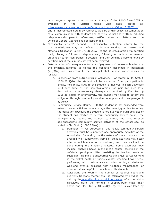with progress reports or report cards. A copy of the PBSD form 2057 is available on the District forms web page located at: <https://www.palmbeachschools.org/wp-content/uploads/sites/10/2057.pdf> and is incorporated herein by reference as part of this policy. Documentation of all communication with students and parents, verbal and written, including telephone calls, parent conferences, certified letters, and letters from the Office of General Counsel shall be kept on file.

- iv. "Reasonable efforts" defined. -- Reasonable collection efforts by the principal/designee may be defined to include sending the Instructional Materials Obligation Letter (PBSD 2057) to the parent/guardian via certified mail; placing a follow-up telephone call; following up with a documented student or parent conference, if possible; and then sending a second notice by certified mail if the sum has not yet been remitted.
- v. Determination of consequences for lack of payment. -- If reasonable efforts by the principal/designee to collect the obligation described in paragraph  $(4)(c)(iv)$  are unsuccessful, the principal shall impose consequences as follows:
	- A. Suspension from Extracurricular Activities. -- As stated in Fla. Stat. § 1006.28(4)(b), the student will be suspended from participation in extracurricular activities (if the student is involved in such activities) until such time as the parent/guardian has paid for such loss, destruction, or unnecessary damage as required by Fla. Stat. § 1006.28(4)(b); or alternatively, the student may elect to satisfy the obligation through community service hours pursuant to subparagraph B, below.
	- B. Community Service Hours. -- If the student is not suspended from extracurricular activities to encourage the parent/guardian to satisfy the obligation (because the student is not involved in such activities or the student has elected to perform community service hours), the principal may require the student to satisfy the debt through age-appropriate community service activities at the school site, as stated in Fla. Stat. § 1006.28(4)(b).
		- I. Definition. -- For purposes of this Policy, community service activities must be supervised age-appropriate activities at the school site. Depending on the nature of the activity and the availability of supervision, some of these activities may occur after school hours or on a weekend; and they shall not be done during the student's classes. Some examples may include: shelving books in the media center; assisting in the cafeteria; picking up litter; assisting the teacher, coach, or custodian; cleaning blackboards; washing golf carts; working in the ticket booth at sports events; weeding flower beds; performing minor maintenance activities; setting up chairs for weekend events; assisting with textbook maintenance; or other activities helpful to the school or its students.
		- II. Calculating the Hours.-- The number of required hours and quarterly fractions thereof shall be calculated by dividing the debt by the [prevailing](http://www.dol.gov/esa/whd/flsa/) hourly minimum wage, after the debt is calculated using the formula in subparagraph  $(4)(c)(ii)(B)$ above and Fla. Stat.  $\S$  1006.28(4)(b). This is calculated by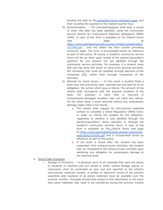dividing the debt by the [prevailing](http://www.dol.gov/esa/whd/flsa/) hourly minimum wage, and then rounding the quotient to the nearest quarter hour.

- III. Documentation. -- The principal/designee shall keep a record of when the debt has been satisfied, using the Community Service Record for Instructional Materials Obligations (PBSD 1990). A copy of the form is available on the District forms web at the page and the page of the set of the set of the set of the set of the set of the set of the set of t [https://www.palmbeachschools.org/wp-content/uploads/sites/](https://www.palmbeachschools.org/wp-content/uploads/sites/10/1990.pdf) [10/1990.pdf](https://www.palmbeachschools.org/wp-content/uploads/sites/10/1990.pdf) , and will reflect the then current prevailing minimum wage. The form is incorporated herein by reference as part of this policy. Of course, a student's community service hours will be cut short upon receipt of the parent's/guardian's payment for any amount not yet satisfied through the community service activities. For example, if a student owes \$50 and has done \$20 worth of community-services activities, the remaining \$30 could be satisfied through payment of the remaining \$30, rather than through completion of the activities.
- IV. Refunds for found books. -- In the event a student finds a book that had previously been reported lost and paid for as an obligation, the school shall issue a refund. The amount of the refund shall correspond with the physical condition of the book. For example, a book that is returned in unnecessarily-damaged condition may not merit any refund. On the other hand, a book returned without any unnecessary damage might merit a full refund.
	- a. The school shall request its instructional materials contact to complete a Check Requisition (PBSD 0181) in order to refund the student for the obligation, regardless of whether it was satisfied through the parent's/guardian's direct payment or through the student's community services hours. A copy of the form is availabl[e](http://www.palmbeachschools.org/Forms/search.asp?rbFilter=Active&rbSearch=Number&lookforNumber=0181&lookforName=0&lookforDept=0&lookforKeyword=&submit=Search) on the District forms web page at[:https://www.palmbeachschools.org/wp-content/upl](https://www.palmbeachschools.org/wp-content/uploads/sites/10/0181.pdf) [oads/sites/10/0181.pdf](https://www.palmbeachschools.org/wp-content/uploads/sites/10/0181.pdf) and is incorporated herein by reference as part of this policy.
	- b. If the book is found after the student has been suspended from extracurricular activities, the student may be reinstated to the extracurricular activities upon satisfying any obligation for unnecessary damage to the returned book.
- d. End-of-Year Inventory
	- i. Storage of Inventory. -- A physical count of all materials that were not issued to students or teachers and are stored in either central storage spaces or classrooms shall be conducted at year end and reported to the school's instructional materials contact. A written or electronic record of the school's quantities and locations of all stored materials must be available over the summer months. Principals should have access to this information in the event that some materials may need to be transferred during the summer months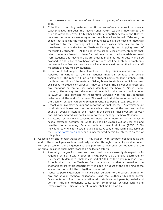due to reasons such as loss of enrollment or opening of a new school in the area.

- ii. Collection of teaching materials. -- At the end-of-year checkout or when a teacher leaves mid-year, the teacher shall return teaching materials to the principal/designee, even if a teacher transfers to another school in the District, because the materials are assigned to the school where issued. If desired, the school that is losing the teacher unit may elect to have the teaching materials transferred to the receiving school. In such cases materials are to be transferred through the Destiny Textbook Manager System. Logging return of materials by students. -- At the end of the school year or term, students shall return materials issued to them for that year or term. All materials returned from students and teachers that are checked in and out using Destiny shall be scanned in and a list of any books not returned shall be printed. For materials not tracked via Destiny, teachers shall maintain a written verification that all materials are returned by students.
- iii. Report of lost/damaged student materials. -- Any missing material must be reported in writing to the instructional materials contact and school bookkeeper. The report will include the student name, student number, ISBN, publisher, and title of the material. Selling books to students. -- Schools may sell books to student or parents if they so choose. The school shall cross out any markings or remove bar codes identifying the book as School Board property. The money from the sale shall be added to the lost textbook account (6-5200.00) and remitted to Accounting Services with the lost/damaged collections at the end of the year. The sold book shall be reported as lost on the Destiny Textbook Ordering Screen in June. See Policy 8.122, Section 5.
- iv. School-wide inventory counts and reporting of final losses. -- A physical count of all student books and teacher materials returned at the year end and a count of books in storage shall result in the school's final inventory at year end. All documented lost books are reported in Destiny Textbook Manager.
- v. Remittance of all monies collected for instructional materials. -- All monies in school textbook accounts (6-5200.00) shall be cleared out at year end and remitted to Accounting Services with a transmittal form (PBSD 0150) indicating payment for lost/damaged books. A copy of the form is available on the [District](http://www.palmbeachschools.org/forms/formsearch/) forms web page, and is incorporated herein by reference as part of this policy.
- e. Collection of End-of-Year Obligations. -- Any student with textbook obligations at the end of the school year (unless previously satisfied through community service hours) will be placed on the obligation list; the parent/guardian shall be notified; and the principal/designee shall make reasonable collection efforts.
	- i. Assessing charges for books lost, destroyed, or unnecessarily damaged. -- As required by Fla. Stat. § 1006.28(4)(b), books that are lost, destroyed, or unnecessarily damaged, shall be charged at 100% of their new purchase price. Schools shall use the Textbook Dictionary Price List that is posted on the Instructional Materials Department web page in August at the beginning of the school year for which the obligation is reported.
	- ii. Notice to parent/guardian. -- Notice shall be given to the parent/guardian of any end-of-year textbook obligations, using the Textbook Obligation Letter. Documentation of all communication with students and parents, verbal and written, including telephone calls, parent conferences, certified letters and letters from the Office of General Counsel shall be kept on file.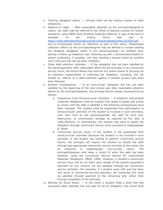- iii. Tracking obligation status. -- Schools shall use the Destiny system to track obligations.
- iv. Referral to Legal. -- After reasonable attempts by the principal/designee to collect, the debt shall be referred to the Office of General Counsel for further assistance using PBSD 2020 Textbook Collection Referral. A copy of the form is available on the District forms web site at: <https://www.palmbeachschools.org/wp-content/uploads/sites/10/2020.pdf> and is incorporated herein by reference as part of this policy. (Reasonable collection efforts by the principal/designee may be defined to include sending the Textbook Obligation Letter to the parent/guardian via certified mail; placing a follow-up telephone call; following up with a documented student or parent conference, if possible; and then sending a second notice by certified mail if the sum has not yet been remitted.)
- v. Other debt-collection methods. -- If the obligation has not been satisfied by the parent/guardian after reasonable efforts by the principal, or by community service hours, the School Board may exercise any lawful means of carrying out its statutory responsibility of collecting the obligation, including, but not limited to, referral to a debt-collection agency if student privacy laws have been followed.
- vi. Student consequences. -- If an end-of-year obligation still has not been satisfied by the beginning of the next school year after reasonable collection efforts by the principal/designee, the principal should impose consequences as follows:
	- A. Suspension from Extracurricular Activities. -- A student's instructional materials obligations shall be tracked from grade to grade and school to school until the debt is satisfied or the following consequences have been imposed. The student shall be suspended from participation in extracurricular activities (if the student is involved in such activities), until such time as the parent/guardian has paid for such loss, destruction, or unnecessary damage as required by Fla. Stat. § 1006.28(4)(b); or alternatively, the student may elect to satisfy the obligation through community service hours pursuant to subparagraph B, below.
	- B. Community Service Hours. If the student is not suspended from extracurricular activities (because the student is not involved in such activities or the student has elected to perform community service hours), the principal will require the student to satisfy the debt through age-appropriate community service activities at the school site as explained in subparagraph  $(4)(c)(v)(B)$ , above. The principal/designee shall keep a record of when the debt has been satisfied, using the Community Service Record for Instructional Materials Obligations (PBSD 1990). However, a student's community service hours will be cut short upon receipt of the parent's/guardian's payment for any amount not yet satisfied through the community service activities. For example, if a student owes \$50 and has done \$20 worth of community-services activities, the remaining \$30 could be satisfied through payment of the remaining \$30, rather than through completion of the activities.
- vii. Refunds for found books. -- In the event a student finds a book that had previously been reported lost and paid for as an obligation, the school shall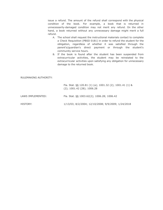issue a refund. The amount of the refund shall correspond with the physical condition of the book. For example, a book that is returned in unnecessarily-damaged condition may not merit any refund. On the other hand, a book returned without any unnecessary damage might merit a full refund.

- A. The school shall request the instructional materials contact to complete a Check Requisition (PBSD 0181) in order to refund the student for the obligation, regardless of whether it was satisfied through the parent's/guardian's direct payment or through the student's community service hours.
- B. If the book is found after the student has been suspended from extracurricular activities, the student may be reinstated to the extracurricular activities upon satisfying any obligation for unnecessary damage to the returned book.

RULEMAKING AUTHORITY:

Fla. Stat. §§ 120.81 (1) (a); 1001.32 (2); 1001.41 (1) & (2); 1001.42 (28); 1006.28

| LAWS IMPLEMENTED: | Fla. Stat. §§ 1003.62(2); 1006.28; 1006.42         |
|-------------------|----------------------------------------------------|
| HISTORY:          | 1/13/03; 8/2/2004; 12/10/2008; 9/9/2009; 1/24/2018 |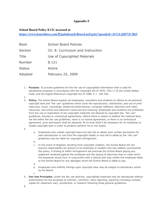# **Appendix F**

## **School Board Policy 8.121 accessed at**

**<https://www.boarddocs.com/fl/palmbeach/Board.nsf/goto?open&id=AVGLQ8572CB6#>**

| <b>Book</b>   | <b>School Board Policies</b>      |
|---------------|-----------------------------------|
| Section       | Ch. 8. Curriculum and Instruction |
| Title         | Use of Copyrighted Materials      |
| Number        | 8.121                             |
| <b>Status</b> | Active                            |
| Adopted       | February 25, 2009                 |

- 1. **Purpose**. To provide guidelines for the fair use of copyrighted information that is used for educational purposes in accordance with the Copyright Act of 1976, Title 17 of the United States Code, and the Digital Millennium Copyright Act of 1998. P. L. 105-304.
- 2.
- 3. **Policy.** The School Board expects all employees, volunteers and students to adhere to all pertinent copyright laws and "fair use" guidelines which cover the reproduction, distribution, and use of print resources, music, recordings, theatrical performances, computer software, television and video resources, and online and electronic resources and licensing. Employees and students are prohibited from the use or duplication of any copyright materials not allowed by copyright law, "fair use" guidelines, licenses or contractual agreements. Where there is reason to believe the material does not fall within the fair use guidelines, there is no license agreement, or there is no contractual agreement, prior permission shall be obtained. At no time shall it be necessary for an employee to violate copyright laws in order to properly perform his or her duties.
- 4.
- a. Employees who violate copyright laws and who fail to obtain prior written permission for said reproduction or use from the copyright holder or who fail to abide by the "fair use" guidelines may be liable for copyright infringement.
- b.
- c. In the event of litigation resulting from copyright violation, the School Board will not assume responsibility for actions of an employee or student who has willfully contravened this policy. A finding of willful infringement will preclude the School Board paying any judgment rendered against the employee and the paying of attorneys fees or costs which the employee would incur in conjunction with a lawsuit and may render the employee liable to the School Board for any damages which the School Board is liable to pay.
- d.
- e. Employees who willfully infringe upon copyright laws may be subject to disciplinary action by the Board.
- f.
- 5. **Fair Use Principles.** Under the fair use doctrine, copyrighted materials may be reproduced without authorization for the purposes of criticism, comment, news reporting, teaching (including multiple copies for classroom use), scholarship, or research following these general guidelines:

6.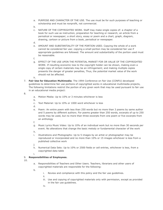a. PURPOSE AND CHARACTER OF THE USE. The use must be for such purposes of teaching or scholarship and must be nonprofit, not commercial.

b.

- c. NATURE OF THE COPYRIGHTED WORK. Staff may make single copies of: a chapter of a book for such use as instruction, preparation for teaching or research; an article from a periodical or newspaper; a short story, essay or poem and a chart, graph, diagram, drawing, cartoon or picture from a book, periodical or newspaper.
- d.
- e. AMOUNT AND SUBSTANTIALITY OF THE PORTION USED. Copying the whole of a work cannot be considered fair use: copying a small portion may be considered fair use if appropriate guidelines are followed. The amount and substantiality of the portion used must be reasonable.
- f.
- g. EFFECT OF THE USE UPON THE POTENTIAL MARKET FOR OR VALUE OF THE COPYRIGHTED WORK. If resulting economic loss to the copyright holder can be shown, making even a single copy of certain materials may be an infringement; and making multiple copies presents the danger of greater penalties, Thus, the potential market value of the work should not be affected.

h.

7. **Fair Use for Education Multimedia**. The 1994 Conference on Fair Use (CONFU) developed guidelines to determine fair use portions of copyrighted works in educational multimedia projects, The following limitations restrict the portion of any given work that may be used pursuant to fair use in an educational media project:

## 8.

- a. Motion Media: Up to 10% or 3 minutes whichever is less
- b.
- c. Text Material: Up to 10% or 1000 word whichever is less
- d.
- e. Poem: An entire poem with less than 250 words but no more than 3 poems by same author and 5 poems by different authors. For poems greater than 250 words, excerpts of up to 250 words may be used, but no more than three excerpts from one poem or five excerpts from an anthology
- f.
- g. Music Lyrics Music Video: Up to 10% of an individual work but no more than 30 seconds per event. No alterations that change the basic melody or fundamental character of the work

h.

i. Illustrations and Photographs: Up to 5 images by an artist or photographer may be reproduced or incorporated and no more than 10% or 15 images whichever is less from a published collective work

j.

k. Numerical Data Sets: Up to 10% or 2500 fields or cell entries, whichever is less, from a copyrighted data table

l.

## 9. **Responsibilities of Employees.**

10.

- a. Responsibilities of Teachers and Other Users. Teachers, librarians and other users of copyrighted materials are responsible for the following:
- b.
- i. Review and compliance with this policy and the fair use guidelines.
- ii.
- iii. Use and copying of copyrighted materials only with permission, except as provided in the fair use guidelines.
	- iv.